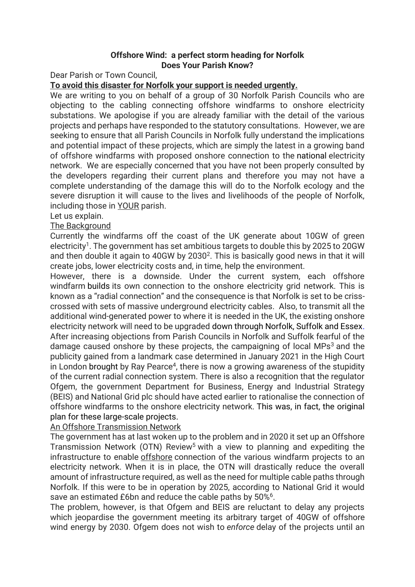### **Offshore Wind: a perfect storm heading for Norfolk Does Your Parish Know?**

Dear Parish or Town Council,

### **To avoid this disaster for Norfolk your support is needed urgently.**

We are writing to you on behalf of a group of 30 Norfolk Parish Councils who are objecting to the cabling connecting offshore windfarms to onshore electricity substations. We apologise if you are already familiar with the detail of the various projects and perhaps have responded to the statutory consultations. However, we are seeking to ensure that all Parish Councils in Norfolk fully understand the implications and potential impact of these projects, which are simply the latest in a growing band of offshore windfarms with proposed onshore connection to the national electricity network. We are especially concerned that you have not been properly consulted by the developers regarding their current plans and therefore you may not have a complete understanding of the damage this will do to the Norfolk ecology and the severe disruption it will cause to the lives and livelihoods of the people of Norfolk, including those in YOUR parish.

### Let us explain.

### The Background

Currently the windfarms off the coast of the UK generate about 10GW of green electricity<sup>1</sup>. The government has set ambitious targets to double this by 2025 to 20GW and then double it again to 40GW by 2030<sup>2</sup>. This is basically good news in that it will create jobs, lower electricity costs and, in time, help the environment.

However, there is a downside. Under the current system, each offshore windfarm builds its own connection to the onshore electricity grid network. This is known as a "radial connection" and the consequence is that Norfolk is set to be crisscrossed with sets of massive underground electricity cables. Also, to transmit all the additional wind-generated power to where it is needed in the UK, the existing onshore electricity network will need to be upgraded down through Norfolk, Suffolk and Essex. After increasing objections from Parish Councils in Norfolk and Suffolk fearful of the damage caused onshore by these projects, the campaigning of local MPs<sup>3</sup> and the publicity gained from a landmark case determined in January 2021 in the High Court in London brought by Ray Pearce<sup>4</sup>, there is now a growing awareness of the stupidity of the current radial connection system. There is also a recognition that the regulator Ofgem, the government Department for Business, Energy and Industrial Strategy (BEIS) and National Grid plc should have acted earlier to rationalise the connection of offshore windfarms to the onshore electricity network. This was, in fact, the original plan for these large-scale projects.

### An Offshore Transmission Network

The government has at last woken up to the problem and in 2020 it set up an Offshore Transmission Network (OTN) Review<sup>5</sup> with a view to planning and expediting the infrastructure to enable offshore connection of the various windfarm projects to an electricity network. When it is in place, the OTN will drastically reduce the overall amount of infrastructure required, as well as the need for multiple cable paths through Norfolk. If this were to be in operation by 2025, according to National Grid it would save an estimated £6bn and reduce the cable paths by 50%<sup>6</sup>.

The problem, however, is that Ofgem and BEIS are reluctant to delay any projects which jeopardise the government meeting its arbitrary target of 40GW of offshore wind energy by 2030. Ofgem does not wish to *enforce* delay of the projects until an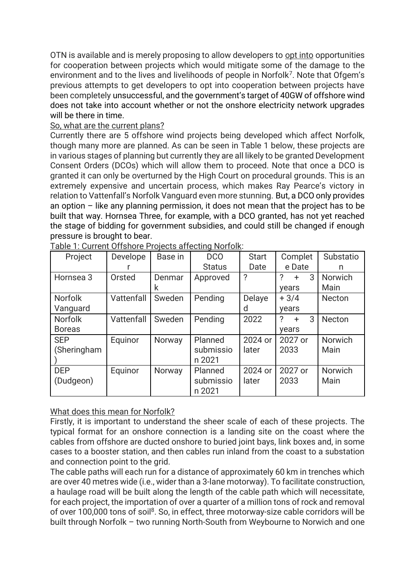OTN is available and is merely proposing to allow developers to opt into opportunities for cooperation between projects which would mitigate some of the damage to the environment and to the lives and livelihoods of people in Norfolk<sup>7</sup>. Note that Ofgem's previous attempts to get developers to opt into cooperation between projects have been completely unsuccessful, and the government's target of 40GW of offshore wind does not take into account whether or not the onshore electricity network upgrades will be there in time.

## So, what are the current plans?

Currently there are 5 offshore wind projects being developed which affect Norfolk, though many more are planned. As can be seen in Table 1 below, these projects are in various stages of planning but currently they are all likely to be granted Development Consent Orders (DCOs) which will allow them to proceed. Note that once a DCO is granted it can only be overturned by the High Court on procedural grounds. This is an extremely expensive and uncertain process, which makes Ray Pearce's victory in relation to Vattenfall's Norfolk Vanguard even more stunning. But, a DCO only provides an option – like any planning permission, it does not mean that the project has to be built that way. Hornsea Three, for example, with a DCO granted, has not yet reached the stage of bidding for government subsidies, and could still be changed if enough pressure is brought to bear.

| Project        | Develope   | Base in | <b>DCO</b>    | <b>Start</b>   | Complet             | Substatio     |
|----------------|------------|---------|---------------|----------------|---------------------|---------------|
|                |            |         | <b>Status</b> | Date           | e Date              | n             |
| Hornsea 3      | Orsted     | Denmar  | Approved      | $\overline{?}$ | 3<br>2<br>÷.        | Norwich       |
|                |            | ĸ       |               |                | years               | Main          |
| <b>Norfolk</b> | Vattenfall | Sweden  | Pending       | Delaye         | $+3/4$              | <b>Necton</b> |
| Vanguard       |            |         |               | d              | years               |               |
| <b>Norfolk</b> | Vattenfall | Sweden  | Pending       | 2022           | 3<br>2<br>$\ddot{}$ | Necton        |
| <b>Boreas</b>  |            |         |               |                | years               |               |
| <b>SEP</b>     | Equinor    | Norway  | Planned       | 2024 or        | 2027 or             | Norwich       |
| (Sheringham    |            |         | submissio     | later          | 2033                | Main          |
|                |            |         | n 2021        |                |                     |               |
| <b>DEP</b>     | Equinor    | Norway  | Planned       | 2024 or        | 2027 or             | Norwich       |
| (Dudgeon)      |            |         | submissio     | later          | 2033                | Main          |
|                |            |         | n 2021        |                |                     |               |

|--|

# What does this mean for Norfolk?

Firstly, it is important to understand the sheer scale of each of these projects. The typical format for an onshore connection is a landing site on the coast where the cables from offshore are ducted onshore to buried joint bays, link boxes and, in some cases to a booster station, and then cables run inland from the coast to a substation and connection point to the grid.

The cable paths will each run for a distance of approximately 60 km in trenches which are over 40 metres wide (i.e., wider than a 3-lane motorway). To facilitate construction, a haulage road will be built along the length of the cable path which will necessitate, for each project, the importation of over a quarter of a million tons of rock and removal of over 100,000 tons of soil<sup>8</sup>. So, in effect, three motorway-size cable corridors will be built through Norfolk – two running North-South from Weybourne to Norwich and one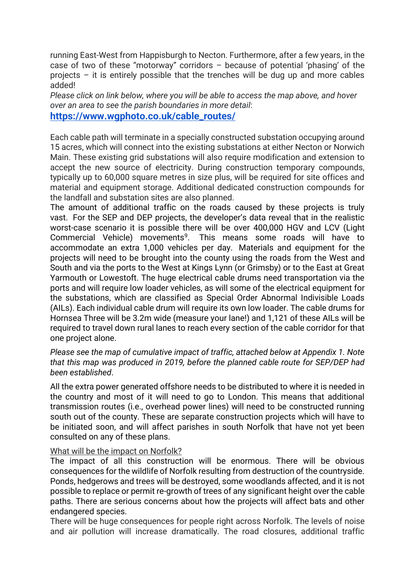running East-West from Happisburgh to Necton. Furthermore, after a few years, in the case of two of these "motorway" corridors – because of potential 'phasing' of the projects – it is entirely possible that the trenches will be dug up and more cables added!

*Please click on link below, where you will be able to access the map above, and hover over an area to see the parish boundaries in more detail*:

# **[https://www.wgphoto.co.uk/cable\\_routes/](https://www.wgphoto.co.uk/cable_routes/)**

Each cable path will terminate in a specially constructed substation occupying around 15 acres, which will connect into the existing substations at either Necton or Norwich Main. These existing grid substations will also require modification and extension to accept the new source of electricity. During construction temporary compounds, typically up to 60,000 square metres in size plus, will be required for site offices and material and equipment storage. Additional dedicated construction compounds for the landfall and substation sites are also planned.

The amount of additional traffic on the roads caused by these projects is truly vast. For the SEP and DEP projects, the developer's data reveal that in the realistic worst-case scenario it is possible there will be over 400,000 HGV and LCV (Light Commercial Vehicle) movements<sup>9</sup>. This means some roads will have to accommodate an extra 1,000 vehicles per day. Materials and equipment for the projects will need to be brought into the county using the roads from the West and South and via the ports to the West at Kings Lynn (or Grimsby) or to the East at Great Yarmouth or Lowestoft. The huge electrical cable drums need transportation via the ports and will require low loader vehicles, as will some of the electrical equipment for the substations, which are classified as Special Order Abnormal Indivisible Loads (AILs). Each individual cable drum will require its own low loader. The cable drums for Hornsea Three will be 3.2m wide (measure your lane!) and 1,121 of these AILs will be required to travel down rural lanes to reach every section of the cable corridor for that one project alone.

*Please see the map of cumulative impact of traffic, attached below at Appendix 1. Note that this map was produced in 2019, before the planned cable route for SEP/DEP had been established*.

All the extra power generated offshore needs to be distributed to where it is needed in the country and most of it will need to go to London. This means that additional transmission routes (i.e., overhead power lines) will need to be constructed running south out of the county. These are separate construction projects which will have to be initiated soon, and will affect parishes in south Norfolk that have not yet been consulted on any of these plans.

### What will be the impact on Norfolk?

The impact of all this construction will be enormous. There will be obvious consequences for the wildlife of Norfolk resulting from destruction of the countryside. Ponds, hedgerows and trees will be destroyed, some woodlands affected, and it is not possible to replace or permit re-growth of trees of any significant height over the cable paths. There are serious concerns about how the projects will affect bats and other endangered species.

There will be huge consequences for people right across Norfolk. The levels of noise and air pollution will increase dramatically. The road closures, additional traffic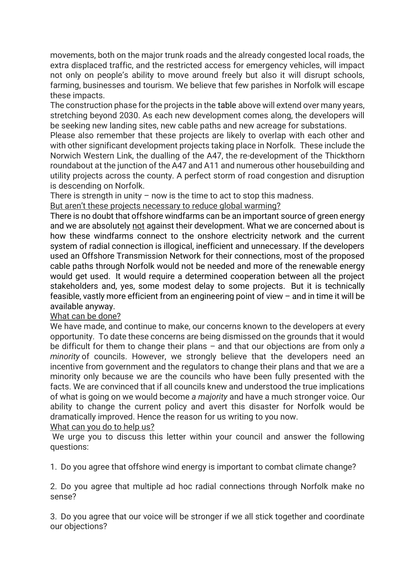movements, both on the major trunk roads and the already congested local roads, the extra displaced traffic, and the restricted access for emergency vehicles, will impact not only on people's ability to move around freely but also it will disrupt schools, farming, businesses and tourism. We believe that few parishes in Norfolk will escape these impacts.

The construction phase for the projects in the table above will extend over many years, stretching beyond 2030. As each new development comes along, the developers will be seeking new landing sites, new cable paths and new acreage for substations.

Please also remember that these projects are likely to overlap with each other and with other significant development projects taking place in Norfolk. These include the Norwich Western Link, the dualling of the A47, the re-development of the Thickthorn roundabout at the junction of the A47 and A11 and numerous other housebuilding and utility projects across the county. A perfect storm of road congestion and disruption is descending on Norfolk.

There is strength in unity  $-$  now is the time to act to stop this madness.

But aren't these projects necessary to reduce global warming?

There is no doubt that offshore windfarms can be an important source of green energy and we are absolutely not against their development. What we are concerned about is how these windfarms connect to the onshore electricity network and the current system of radial connection is illogical, inefficient and unnecessary. If the developers used an Offshore Transmission Network for their connections, most of the proposed cable paths through Norfolk would not be needed and more of the renewable energy would get used. It would require a determined cooperation between all the project stakeholders and, yes, some modest delay to some projects. But it is technically feasible, vastly more efficient from an engineering point of view – and in time it will be available anyway.

What can be done?

We have made, and continue to make, our concerns known to the developers at every opportunity. To date these concerns are being dismissed on the grounds that it would be difficult for them to change their plans – and that our objections are from only *a minority* of councils. However, we strongly believe that the developers need an incentive from government and the regulators to change their plans and that we are a minority only because we are the councils who have been fully presented with the facts. We are convinced that if all councils knew and understood the true implications of what is going on we would become *a majority* and have a much stronger voice. Our ability to change the current policy and avert this disaster for Norfolk would be dramatically improved. Hence the reason for us writing to you now. What can you do to help us?

We urge you to discuss this letter within your council and answer the following questions:

1. Do you agree that offshore wind energy is important to combat climate change?

2. Do you agree that multiple ad hoc radial connections through Norfolk make no sense?

3. Do you agree that our voice will be stronger if we all stick together and coordinate our objections?